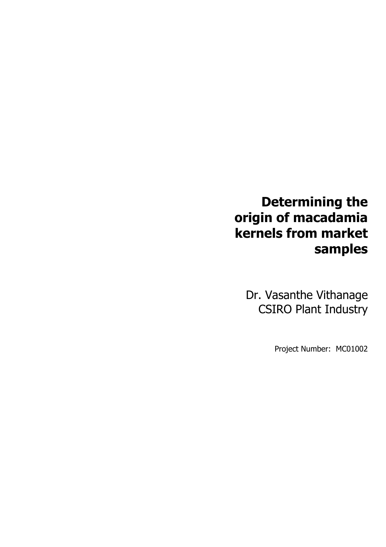# **Determining the origin of macadamia kernels from market samples**

Dr. Vasanthe Vithanage CSIRO Plant Industry

Project Number: MC01002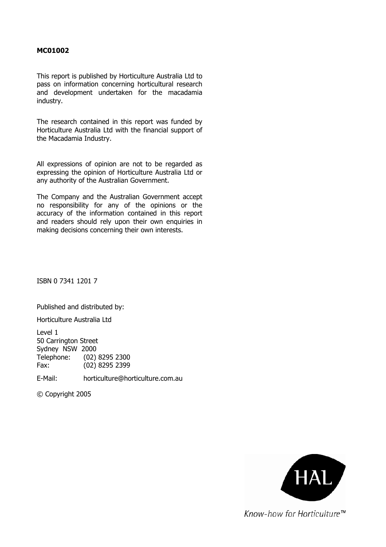#### **MC01002**

This report is published by Horticulture Australia Ltd to pass on information concerning horticultural research and development undertaken for the macadamia industry.

The research contained in this report was funded by Horticulture Australia Ltd with the financial support of the Macadamia Industry.

All expressions of opinion are not to be regarded as expressing the opinion of Horticulture Australia Ltd or any authority of the Australian Government.

The Company and the Australian Government accept no responsibility for any of the opinions or the accuracy of the information contained in this report and readers should rely upon their own enquiries in making decisions concerning their own interests.

ISBN 0 7341 1201 7

Published and distributed by:

Horticulture Australia Ltd

Level 1 50 Carrington Street Sydney NSW 2000 Telephone: (02) 8295 2300 Fax: (02) 8295 2399

E-Mail: horticulture@horticulture.com.au

© Copyright 2005



Know-how for Horticulture™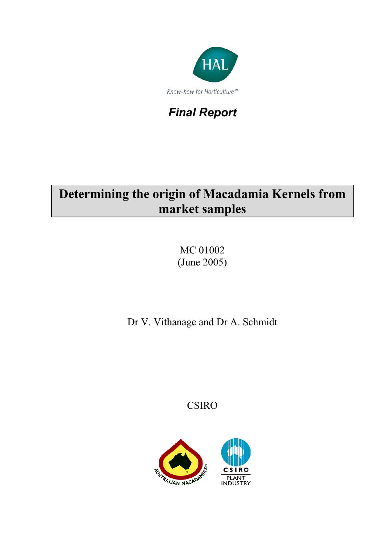

## *Final Report*

# **Determining the origin of Macadamia Kernels from market samples**

MC 01002 (June 2005)

Dr V. Vithanage and Dr A. Schmidt

CSIRO

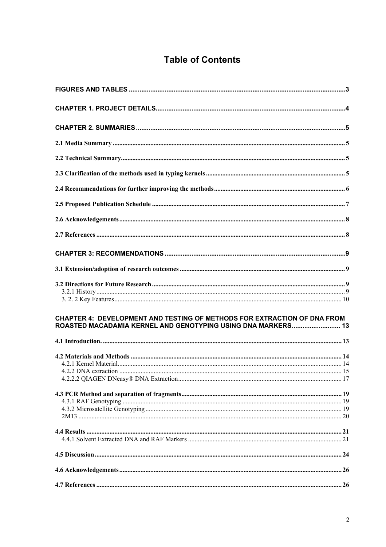## **Table of Contents**

| CHAPTER 4: DEVELOPMENT AND TESTING OF METHODS FOR EXTRACTION OF DNA FROM<br>ROASTED MACADAMIA KERNEL AND GENOTYPING USING DNA MARKERS 13 |  |
|------------------------------------------------------------------------------------------------------------------------------------------|--|
|                                                                                                                                          |  |
|                                                                                                                                          |  |
|                                                                                                                                          |  |
|                                                                                                                                          |  |
|                                                                                                                                          |  |
|                                                                                                                                          |  |
|                                                                                                                                          |  |
|                                                                                                                                          |  |
|                                                                                                                                          |  |
|                                                                                                                                          |  |
|                                                                                                                                          |  |
|                                                                                                                                          |  |
|                                                                                                                                          |  |
|                                                                                                                                          |  |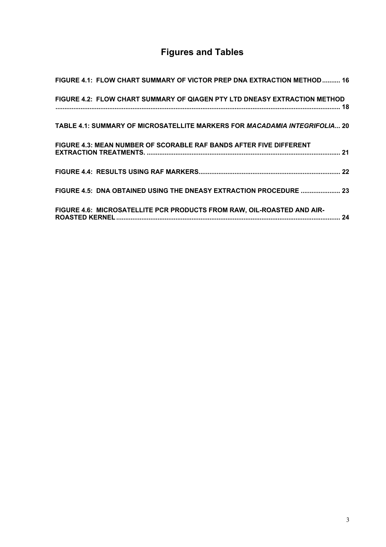## **Figures and Tables**

| FIGURE 4.1: FLOW CHART SUMMARY OF VICTOR PREP DNA EXTRACTION METHOD 16     |  |
|----------------------------------------------------------------------------|--|
| FIGURE 4.2: FLOW CHART SUMMARY OF QIAGEN PTY LTD DNEASY EXTRACTION METHOD  |  |
|                                                                            |  |
| TABLE 4.1: SUMMARY OF MICROSATELLITE MARKERS FOR MACADAMIA INTEGRIFOLIA 20 |  |
| FIGURE 4.3: MEAN NUMBER OF SCORABLE RAF BANDS AFTER FIVE DIFFERENT         |  |
|                                                                            |  |
|                                                                            |  |
| FIGURE 4.5: DNA OBTAINED USING THE DNEASY EXTRACTION PROCEDURE  23         |  |
| FIGURE 4.6: MICROSATELLITE PCR PRODUCTS FROM RAW, OIL-ROASTED AND AIR-     |  |
|                                                                            |  |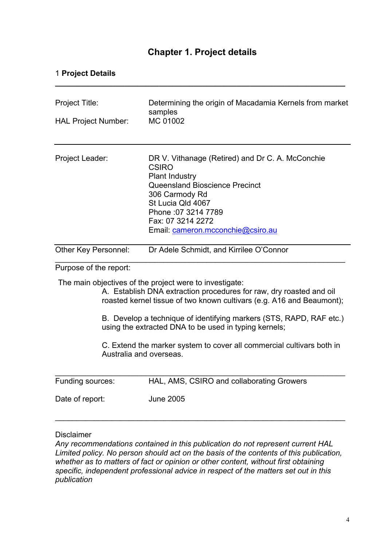## **Chapter 1. Project details**

**\_\_\_\_\_\_\_\_\_\_\_\_\_\_\_\_\_\_\_\_\_\_\_\_\_\_\_\_\_\_\_\_\_\_\_\_\_\_\_\_\_\_\_\_\_\_\_\_\_\_\_\_\_\_\_\_\_\_\_\_\_\_\_\_\_\_\_** 

#### 1 **Project Details**

| Project Title:<br><b>HAL Project Number:</b> | Determining the origin of Macadamia Kernels from market<br>samples<br>MC 01002                                                                                                                                                                                                                                                                                                                                   |
|----------------------------------------------|------------------------------------------------------------------------------------------------------------------------------------------------------------------------------------------------------------------------------------------------------------------------------------------------------------------------------------------------------------------------------------------------------------------|
| Project Leader:                              | DR V. Vithanage (Retired) and Dr C. A. McConchie<br><b>CSIRO</b><br><b>Plant Industry</b><br>Queensland Bioscience Precinct<br>306 Carmody Rd<br>St Lucia Qld 4067<br>Phone : 07 3214 7789<br>Fax: 07 3214 2272<br>Email: cameron.mcconchie@csiro.au                                                                                                                                                             |
| Other Key Personnel:                         | Dr Adele Schmidt, and Kirrilee O'Connor                                                                                                                                                                                                                                                                                                                                                                          |
| Purpose of the report:                       |                                                                                                                                                                                                                                                                                                                                                                                                                  |
|                                              | The main objectives of the project were to investigate:<br>A. Establish DNA extraction procedures for raw, dry roasted and oil<br>roasted kernel tissue of two known cultivars (e.g. A16 and Beaumont);<br>B. Develop a technique of identifying markers (STS, RAPD, RAF etc.)<br>using the extracted DNA to be used in typing kernels;<br>C. Extend the marker system to cover all commercial cultivars both in |
| Australia and overseas.                      |                                                                                                                                                                                                                                                                                                                                                                                                                  |
| Funding sources:                             | HAL, AMS, CSIRO and collaborating Growers                                                                                                                                                                                                                                                                                                                                                                        |
| Date of report:                              | <b>June 2005</b>                                                                                                                                                                                                                                                                                                                                                                                                 |

#### Disclaimer

*Any recommendations contained in this publication do not represent current HAL Limited policy. No person should act on the basis of the contents of this publication, whether as to matters of fact or opinion or other content, without first obtaining specific, independent professional advice in respect of the matters set out in this publication*

\_\_\_\_\_\_\_\_\_\_\_\_\_\_\_\_\_\_\_\_\_\_\_\_\_\_\_\_\_\_\_\_\_\_\_\_\_\_\_\_\_\_\_\_\_\_\_\_\_\_\_\_\_\_\_\_\_\_\_\_\_\_\_\_\_\_\_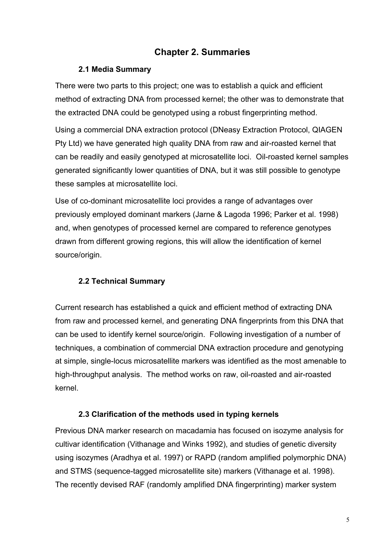## **Chapter 2. Summaries**

### **2.1 Media Summary**

There were two parts to this project; one was to establish a quick and efficient method of extracting DNA from processed kernel; the other was to demonstrate that the extracted DNA could be genotyped using a robust fingerprinting method.

Using a commercial DNA extraction protocol (DNeasy Extraction Protocol, QIAGEN Pty Ltd) we have generated high quality DNA from raw and air-roasted kernel that can be readily and easily genotyped at microsatellite loci. Oil-roasted kernel samples generated significantly lower quantities of DNA, but it was still possible to genotype these samples at microsatellite loci.

Use of co-dominant microsatellite loci provides a range of advantages over previously employed dominant markers (Jarne & Lagoda 1996; Parker et al. 1998) and, when genotypes of processed kernel are compared to reference genotypes drawn from different growing regions, this will allow the identification of kernel source/origin.

## **2.2 Technical Summary**

Current research has established a quick and efficient method of extracting DNA from raw and processed kernel, and generating DNA fingerprints from this DNA that can be used to identify kernel source/origin. Following investigation of a number of techniques, a combination of commercial DNA extraction procedure and genotyping at simple, single-locus microsatellite markers was identified as the most amenable to high-throughput analysis. The method works on raw, oil-roasted and air-roasted kernel.

## **2.3 Clarification of the methods used in typing kernels**

Previous DNA marker research on macadamia has focused on isozyme analysis for cultivar identification (Vithanage and Winks 1992), and studies of genetic diversity using isozymes (Aradhya et al. 1997) or RAPD (random amplified polymorphic DNA) and STMS (sequence-tagged microsatellite site) markers (Vithanage et al. 1998). The recently devised RAF (randomly amplified DNA fingerprinting) marker system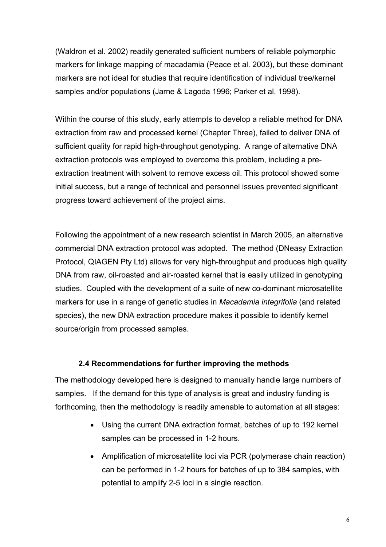(Waldron et al. 2002) readily generated sufficient numbers of reliable polymorphic markers for linkage mapping of macadamia (Peace et al. 2003), but these dominant markers are not ideal for studies that require identification of individual tree/kernel samples and/or populations (Jarne & Lagoda 1996; Parker et al. 1998).

Within the course of this study, early attempts to develop a reliable method for DNA extraction from raw and processed kernel (Chapter Three), failed to deliver DNA of sufficient quality for rapid high-throughput genotyping. A range of alternative DNA extraction protocols was employed to overcome this problem, including a preextraction treatment with solvent to remove excess oil. This protocol showed some initial success, but a range of technical and personnel issues prevented significant progress toward achievement of the project aims.

Following the appointment of a new research scientist in March 2005, an alternative commercial DNA extraction protocol was adopted. The method (DNeasy Extraction Protocol, QIAGEN Pty Ltd) allows for very high-throughput and produces high quality DNA from raw, oil-roasted and air-roasted kernel that is easily utilized in genotyping studies. Coupled with the development of a suite of new co-dominant microsatellite markers for use in a range of genetic studies in *Macadamia integrifolia* (and related species), the new DNA extraction procedure makes it possible to identify kernel source/origin from processed samples.

#### **2.4 Recommendations for further improving the methods**

The methodology developed here is designed to manually handle large numbers of samples. If the demand for this type of analysis is great and industry funding is forthcoming, then the methodology is readily amenable to automation at all stages:

- Using the current DNA extraction format, batches of up to 192 kernel samples can be processed in 1-2 hours.
- Amplification of microsatellite loci via PCR (polymerase chain reaction) can be performed in 1-2 hours for batches of up to 384 samples, with potential to amplify 2-5 loci in a single reaction.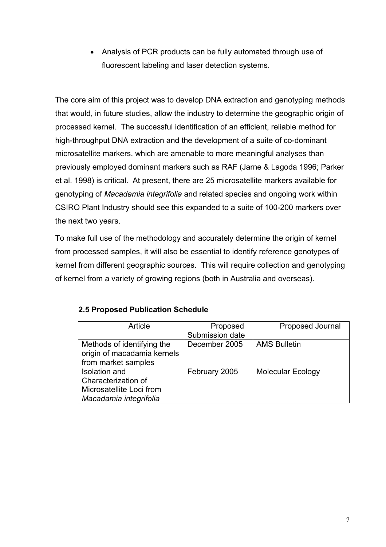• Analysis of PCR products can be fully automated through use of fluorescent labeling and laser detection systems.

The core aim of this project was to develop DNA extraction and genotyping methods that would, in future studies, allow the industry to determine the geographic origin of processed kernel. The successful identification of an efficient, reliable method for high-throughput DNA extraction and the development of a suite of co-dominant microsatellite markers, which are amenable to more meaningful analyses than previously employed dominant markers such as RAF (Jarne & Lagoda 1996; Parker et al. 1998) is critical. At present, there are 25 microsatellite markers available for genotyping of *Macadamia integrifolia* and related species and ongoing work within CSIRO Plant Industry should see this expanded to a suite of 100-200 markers over the next two years.

To make full use of the methodology and accurately determine the origin of kernel from processed samples, it will also be essential to identify reference genotypes of kernel from different geographic sources. This will require collection and genotyping of kernel from a variety of growing regions (both in Australia and overseas).

| Article                     | Proposed        | Proposed Journal         |
|-----------------------------|-----------------|--------------------------|
|                             | Submission date |                          |
| Methods of identifying the  | December 2005   | <b>AMS Bulletin</b>      |
| origin of macadamia kernels |                 |                          |
| from market samples         |                 |                          |
| Isolation and               | February 2005   | <b>Molecular Ecology</b> |
| Characterization of         |                 |                          |
| Microsatellite Loci from    |                 |                          |
| Macadamia integrifolia      |                 |                          |

#### **2.5 Proposed Publication Schedule**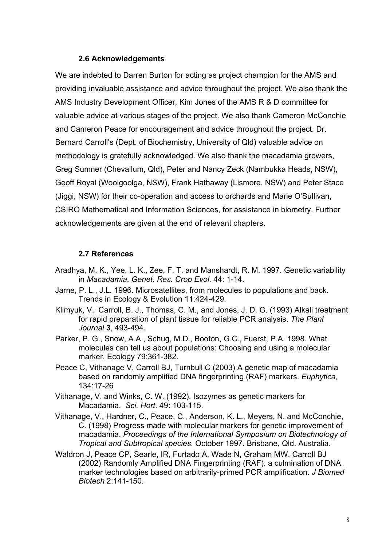#### **2.6 Acknowledgements**

We are indebted to Darren Burton for acting as project champion for the AMS and providing invaluable assistance and advice throughout the project. We also thank the AMS Industry Development Officer, Kim Jones of the AMS R & D committee for valuable advice at various stages of the project. We also thank Cameron McConchie and Cameron Peace for encouragement and advice throughout the project. Dr. Bernard Carroll's (Dept. of Biochemistry, University of Qld) valuable advice on methodology is gratefully acknowledged. We also thank the macadamia growers, Greg Sumner (Chevallum, Qld), Peter and Nancy Zeck (Nambukka Heads, NSW), Geoff Royal (Woolgoolga, NSW), Frank Hathaway (Lismore, NSW) and Peter Stace (Jiggi, NSW) for their co-operation and access to orchards and Marie O'Sullivan, CSIRO Mathematical and Information Sciences, for assistance in biometry. Further acknowledgements are given at the end of relevant chapters.

#### **2.7 References**

- Aradhya, M. K., Yee, L. K., Zee, F. T. and Manshardt, R. M. 1997. Genetic variability in *Macadamia*. *Genet. Res. Crop Evol*. 44: 1-14.
- Jarne, P. L., J.L. 1996. Microsatellites, from molecules to populations and back. Trends in Ecology & Evolution 11:424-429.
- Klimyuk, V. Carroll, B. J., Thomas, C. M., and Jones, J. D. G. (1993) Alkali treatment for rapid preparation of plant tissue for reliable PCR analysis. *The Plant Journal* **3**, 493-494.
- Parker, P. G., Snow, A.A., Schug, M.D., Booton, G.C., Fuerst, P.A. 1998. What molecules can tell us about populations: Choosing and using a molecular marker. Ecology 79:361-382.
- Peace C, Vithanage V, Carroll BJ, Turnbull C (2003) A genetic map of macadamia based on randomly amplified DNA fingerprinting (RAF) markers. *Euphytica,* 134:17-26
- Vithanage, V. and Winks, C. W. (1992). Isozymes as genetic markers for Macadamia. *Sci. Hort*. 49: 103-115.
- Vithanage, V., Hardner, C., Peace, C., Anderson, K. L., Meyers, N. and McConchie, C. (1998) Progress made with molecular markers for genetic improvement of macadamia. *Proceedings of the International Symposium on Biotechnology of Tropical and Subtropical species.* October 1997. Brisbane, Qld. Australia.
- Waldron J, Peace CP, Searle, IR, Furtado A, Wade N, Graham MW, Carroll BJ (2002) Randomly Amplified DNA Fingerprinting (RAF): a culmination of DNA marker technologies based on arbitrarily-primed PCR amplification. *J Biomed Biotech* 2:141-150.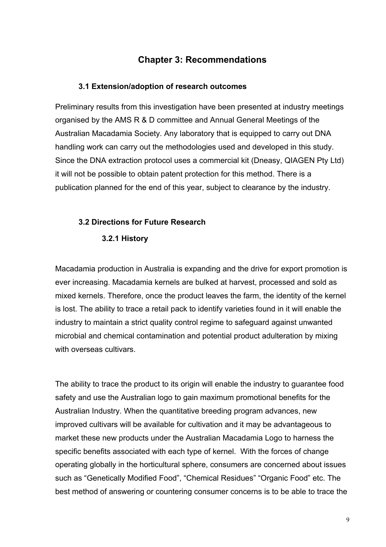## **Chapter 3: Recommendations**

#### **3.1 Extension/adoption of research outcomes**

Preliminary results from this investigation have been presented at industry meetings organised by the AMS R & D committee and Annual General Meetings of the Australian Macadamia Society. Any laboratory that is equipped to carry out DNA handling work can carry out the methodologies used and developed in this study. Since the DNA extraction protocol uses a commercial kit (Dneasy, QIAGEN Pty Ltd) it will not be possible to obtain patent protection for this method. There is a publication planned for the end of this year, subject to clearance by the industry.

#### **3.2 Directions for Future Research**

#### **3.2.1 History**

Macadamia production in Australia is expanding and the drive for export promotion is ever increasing. Macadamia kernels are bulked at harvest, processed and sold as mixed kernels. Therefore, once the product leaves the farm, the identity of the kernel is lost. The ability to trace a retail pack to identify varieties found in it will enable the industry to maintain a strict quality control regime to safeguard against unwanted microbial and chemical contamination and potential product adulteration by mixing with overseas cultivars.

The ability to trace the product to its origin will enable the industry to guarantee food safety and use the Australian logo to gain maximum promotional benefits for the Australian Industry. When the quantitative breeding program advances, new improved cultivars will be available for cultivation and it may be advantageous to market these new products under the Australian Macadamia Logo to harness the specific benefits associated with each type of kernel. With the forces of change operating globally in the horticultural sphere, consumers are concerned about issues such as "Genetically Modified Food", "Chemical Residues" "Organic Food" etc. The best method of answering or countering consumer concerns is to be able to trace the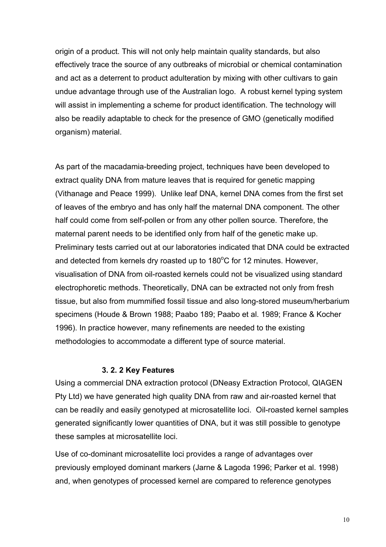origin of a product. This will not only help maintain quality standards, but also effectively trace the source of any outbreaks of microbial or chemical contamination and act as a deterrent to product adulteration by mixing with other cultivars to gain undue advantage through use of the Australian logo. A robust kernel typing system will assist in implementing a scheme for product identification. The technology will also be readily adaptable to check for the presence of GMO (genetically modified organism) material.

As part of the macadamia-breeding project, techniques have been developed to extract quality DNA from mature leaves that is required for genetic mapping (Vithanage and Peace 1999). Unlike leaf DNA, kernel DNA comes from the first set of leaves of the embryo and has only half the maternal DNA component. The other half could come from self-pollen or from any other pollen source. Therefore, the maternal parent needs to be identified only from half of the genetic make up. Preliminary tests carried out at our laboratories indicated that DNA could be extracted and detected from kernels dry roasted up to  $180^{\circ}$ C for 12 minutes. However, visualisation of DNA from oil-roasted kernels could not be visualized using standard electrophoretic methods. Theoretically, DNA can be extracted not only from fresh tissue, but also from mummified fossil tissue and also long-stored museum/herbarium specimens (Houde & Brown 1988; Paabo 189; Paabo et al. 1989; France & Kocher 1996). In practice however, many refinements are needed to the existing methodologies to accommodate a different type of source material.

#### **3. 2. 2 Key Features**

Using a commercial DNA extraction protocol (DNeasy Extraction Protocol, QIAGEN Pty Ltd) we have generated high quality DNA from raw and air-roasted kernel that can be readily and easily genotyped at microsatellite loci. Oil-roasted kernel samples generated significantly lower quantities of DNA, but it was still possible to genotype these samples at microsatellite loci.

Use of co-dominant microsatellite loci provides a range of advantages over previously employed dominant markers (Jarne & Lagoda 1996; Parker et al. 1998) and, when genotypes of processed kernel are compared to reference genotypes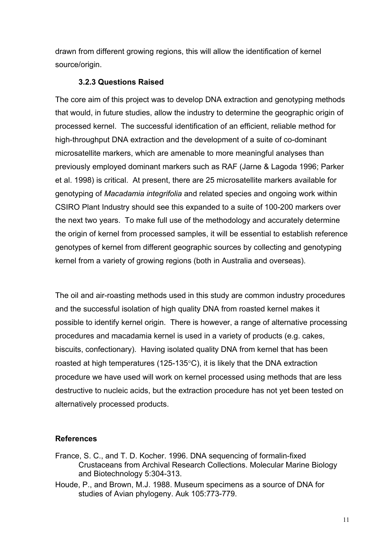drawn from different growing regions, this will allow the identification of kernel source/origin.

#### **3.2.3 Questions Raised**

The core aim of this project was to develop DNA extraction and genotyping methods that would, in future studies, allow the industry to determine the geographic origin of processed kernel. The successful identification of an efficient, reliable method for high-throughput DNA extraction and the development of a suite of co-dominant microsatellite markers, which are amenable to more meaningful analyses than previously employed dominant markers such as RAF (Jarne & Lagoda 1996; Parker et al. 1998) is critical. At present, there are 25 microsatellite markers available for genotyping of *Macadamia integrifolia* and related species and ongoing work within CSIRO Plant Industry should see this expanded to a suite of 100-200 markers over the next two years. To make full use of the methodology and accurately determine the origin of kernel from processed samples, it will be essential to establish reference genotypes of kernel from different geographic sources by collecting and genotyping kernel from a variety of growing regions (both in Australia and overseas).

The oil and air-roasting methods used in this study are common industry procedures and the successful isolation of high quality DNA from roasted kernel makes it possible to identify kernel origin. There is however, a range of alternative processing procedures and macadamia kernel is used in a variety of products (e.g. cakes, biscuits, confectionary). Having isolated quality DNA from kernel that has been roasted at high temperatures (125-135°C), it is likely that the DNA extraction procedure we have used will work on kernel processed using methods that are less destructive to nucleic acids, but the extraction procedure has not yet been tested on alternatively processed products.

## **References**

- France, S. C., and T. D. Kocher. 1996. DNA sequencing of formalin-fixed Crustaceans from Archival Research Collections. Molecular Marine Biology and Biotechnology 5:304-313.
- Houde, P., and Brown, M.J. 1988. Museum specimens as a source of DNA for studies of Avian phylogeny. Auk 105:773-779.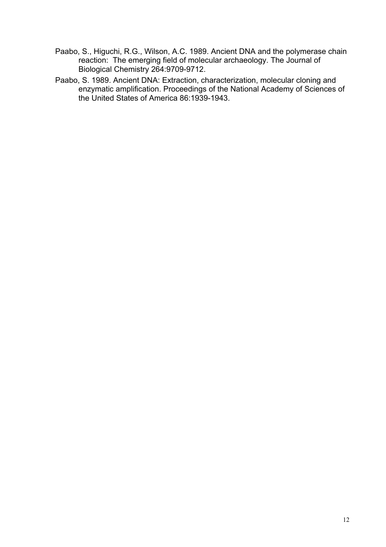- Paabo, S., Higuchi, R.G., Wilson, A.C. 1989. Ancient DNA and the polymerase chain reaction: The emerging field of molecular archaeology. The Journal of Biological Chemistry 264:9709-9712.
- Paabo, S. 1989. Ancient DNA: Extraction, characterization, molecular cloning and enzymatic amplification. Proceedings of the National Academy of Sciences of the United States of America 86:1939-1943.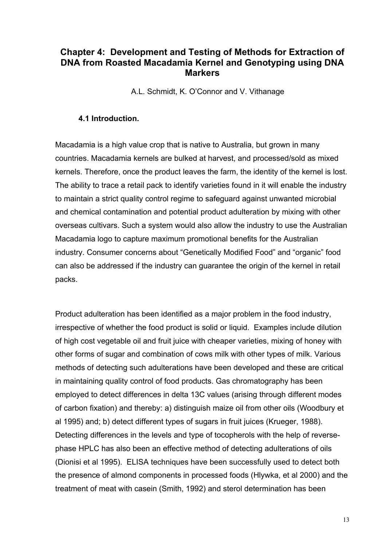## **Chapter 4: Development and Testing of Methods for Extraction of DNA from Roasted Macadamia Kernel and Genotyping using DNA Markers**

A.L. Schmidt, K. O'Connor and V. Vithanage

#### **4.1 Introduction.**

Macadamia is a high value crop that is native to Australia, but grown in many countries. Macadamia kernels are bulked at harvest, and processed/sold as mixed kernels. Therefore, once the product leaves the farm, the identity of the kernel is lost. The ability to trace a retail pack to identify varieties found in it will enable the industry to maintain a strict quality control regime to safeguard against unwanted microbial and chemical contamination and potential product adulteration by mixing with other overseas cultivars. Such a system would also allow the industry to use the Australian Macadamia logo to capture maximum promotional benefits for the Australian industry. Consumer concerns about "Genetically Modified Food" and "organic" food can also be addressed if the industry can guarantee the origin of the kernel in retail packs.

Product adulteration has been identified as a major problem in the food industry, irrespective of whether the food product is solid or liquid. Examples include dilution of high cost vegetable oil and fruit juice with cheaper varieties, mixing of honey with other forms of sugar and combination of cows milk with other types of milk. Various methods of detecting such adulterations have been developed and these are critical in maintaining quality control of food products. Gas chromatography has been employed to detect differences in delta 13C values (arising through different modes of carbon fixation) and thereby: a) distinguish maize oil from other oils (Woodbury et al 1995) and; b) detect different types of sugars in fruit juices (Krueger, 1988). Detecting differences in the levels and type of tocopherols with the help of reversephase HPLC has also been an effective method of detecting adulterations of oils (Dionisi et al 1995). ELISA techniques have been successfully used to detect both the presence of almond components in processed foods (Hlywka, et al 2000) and the treatment of meat with casein (Smith, 1992) and sterol determination has been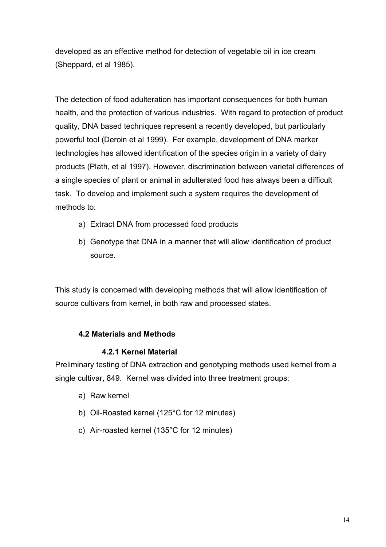developed as an effective method for detection of vegetable oil in ice cream (Sheppard, et al 1985).

The detection of food adulteration has important consequences for both human health, and the protection of various industries. With regard to protection of product quality, DNA based techniques represent a recently developed, but particularly powerful tool (Deroin et al 1999). For example, development of DNA marker technologies has allowed identification of the species origin in a variety of dairy products (Plath, et al 1997). However, discrimination between varietal differences of a single species of plant or animal in adulterated food has always been a difficult task. To develop and implement such a system requires the development of methods to:

- a) Extract DNA from processed food products
- b) Genotype that DNA in a manner that will allow identification of product source.

This study is concerned with developing methods that will allow identification of source cultivars from kernel, in both raw and processed states.

#### **4.2 Materials and Methods**

#### **4.2.1 Kernel Material**

Preliminary testing of DNA extraction and genotyping methods used kernel from a single cultivar, 849. Kernel was divided into three treatment groups:

- a) Raw kernel
- b) Oil-Roasted kernel (125°C for 12 minutes)
- c) Air-roasted kernel (135°C for 12 minutes)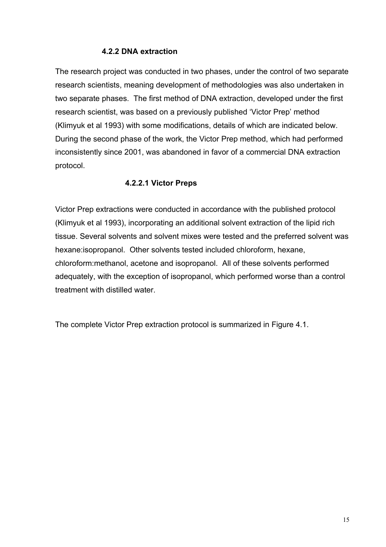#### **4.2.2 DNA extraction**

The research project was conducted in two phases, under the control of two separate research scientists, meaning development of methodologies was also undertaken in two separate phases. The first method of DNA extraction, developed under the first research scientist, was based on a previously published 'Victor Prep' method (Klimyuk et al 1993) with some modifications, details of which are indicated below. During the second phase of the work, the Victor Prep method, which had performed inconsistently since 2001, was abandoned in favor of a commercial DNA extraction protocol.

#### **4.2.2.1 Victor Preps**

Victor Prep extractions were conducted in accordance with the published protocol (Klimyuk et al 1993), incorporating an additional solvent extraction of the lipid rich tissue. Several solvents and solvent mixes were tested and the preferred solvent was hexane:isopropanol. Other solvents tested included chloroform, hexane, chloroform:methanol, acetone and isopropanol. All of these solvents performed adequately, with the exception of isopropanol, which performed worse than a control treatment with distilled water.

The complete Victor Prep extraction protocol is summarized in Figure 4.1.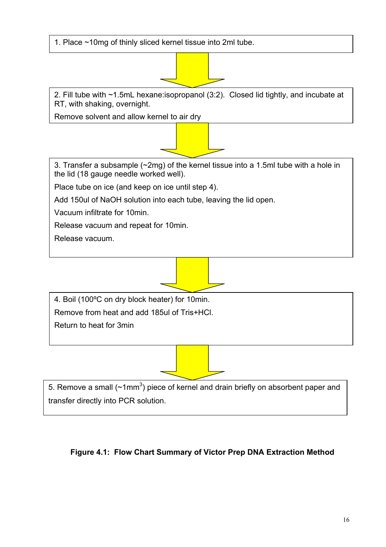1. Place ~10mg of thinly sliced kernel tissue into 2ml tube.

2. Fill tube with ~1.5mL hexane:isopropanol (3:2). Closed lid tightly, and incubate at RT, with shaking, overnight.

Remove solvent and allow kernel to air dry

3. Transfer a subsample (~2mg) of the kernel tissue into a 1.5ml tube with a hole in the lid (18 gauge needle worked well).

Place tube on ice (and keep on ice until step 4).

Add 150ul of NaOH solution into each tube, leaving the lid open.

Vacuum infiltrate for 10min.

Release vacuum and repeat for 10min.

Release vacuum.

4. Boil (100ºC on dry block heater) for 10min. Remove from heat and add 185ul of Tris+HCl.

Return to heat for 3min

5. Remove a small ( $\sim$ 1mm<sup>3</sup>) piece of kernel and drain briefly on absorbent paper and transfer directly into PCR solution.

## **Figure 4.1: Flow Chart Summary of Victor Prep DNA Extraction Method**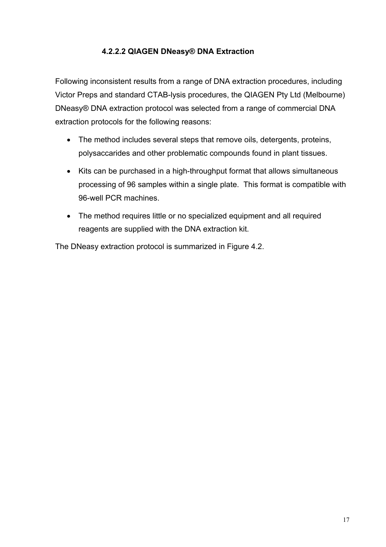### **4.2.2.2 QIAGEN DNeasy® DNA Extraction**

Following inconsistent results from a range of DNA extraction procedures, including Victor Preps and standard CTAB-lysis procedures, the QIAGEN Pty Ltd (Melbourne) DNeasy® DNA extraction protocol was selected from a range of commercial DNA extraction protocols for the following reasons:

- The method includes several steps that remove oils, detergents, proteins, polysaccarides and other problematic compounds found in plant tissues.
- Kits can be purchased in a high-throughput format that allows simultaneous processing of 96 samples within a single plate. This format is compatible with 96-well PCR machines.
- The method requires little or no specialized equipment and all required reagents are supplied with the DNA extraction kit.

The DNeasy extraction protocol is summarized in Figure 4.2.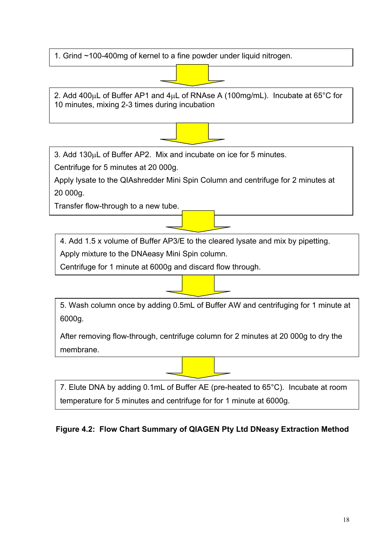1. Grind ~100-400mg of kernel to a fine powder under liquid nitrogen.

2. Add 400 $\mu$ L of Buffer AP1 and 4 $\mu$ L of RNAse A (100mg/mL). Incubate at 65°C for 10 minutes, mixing 2-3 times during incubation



3. Add 130µL of Buffer AP2. Mix and incubate on ice for 5 minutes.

Centrifuge for 5 minutes at 20 000g.

Apply lysate to the QIAshredder Mini Spin Column and centrifuge for 2 minutes at 20 000g.

Transfer flow-through to a new tube.

4. Add 1.5 x volume of Buffer AP3/E to the cleared lysate and mix by pipetting.

Apply mixture to the DNAeasy Mini Spin column.

Centrifuge for 1 minute at 6000g and discard flow through.

5. Wash column once by adding 0.5mL of Buffer AW and centrifuging for 1 minute at 6000g.

After removing flow-through, centrifuge column for 2 minutes at 20 000g to dry the membrane.

7. Elute DNA by adding 0.1mL of Buffer AE (pre-heated to 65°C). Incubate at room temperature for 5 minutes and centrifuge for for 1 minute at 6000g.

## **Figure 4.2: Flow Chart Summary of QIAGEN Pty Ltd DNeasy Extraction Method**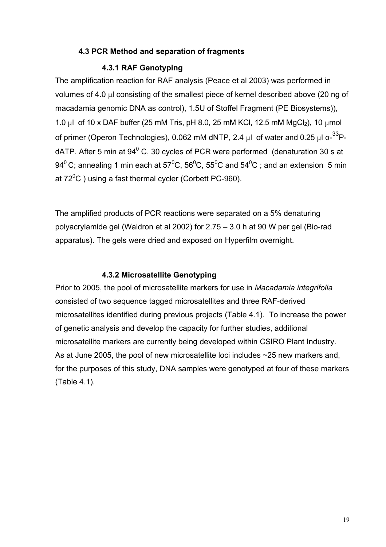#### **4.3 PCR Method and separation of fragments**

#### **4.3.1 RAF Genotyping**

The amplification reaction for RAF analysis (Peace et al 2003) was performed in volumes of 4.0 µl consisting of the smallest piece of kernel described above (20 ng of macadamia genomic DNA as control), 1.5U of Stoffel Fragment (PE Biosystems)), 1.0 µl of 10 x DAF buffer (25 mM Tris, pH 8.0, 25 mM KCl, 12.5 mM MgCl<sub>2</sub>), 10 µmol of primer (Operon Technologies), 0.062 mM dNTP, 2.4 μl of water and 0.25 μl  $\alpha$ -<sup>33</sup>PdATP. After 5 min at  $94^{\circ}$  C, 30 cycles of PCR were performed (denaturation 30 s at 94<sup>0</sup> C; annealing 1 min each at 57<sup>0</sup>C, 56<sup>0</sup>C, 55<sup>0</sup>C and 54<sup>0</sup>C ; and an extension 5 min at 72 $\mathrm{^{0}C}$  ) using a fast thermal cycler (Corbett PC-960).

The amplified products of PCR reactions were separated on a 5% denaturing polyacrylamide gel (Waldron et al 2002) for 2.75 – 3.0 h at 90 W per gel (Bio-rad apparatus). The gels were dried and exposed on Hyperfilm overnight.

#### **4.3.2 Microsatellite Genotyping**

Prior to 2005, the pool of microsatellite markers for use in *Macadamia integrifolia* consisted of two sequence tagged microsatellites and three RAF-derived microsatellites identified during previous projects (Table 4.1). To increase the power of genetic analysis and develop the capacity for further studies, additional microsatellite markers are currently being developed within CSIRO Plant Industry. As at June 2005, the pool of new microsatellite loci includes ~25 new markers and, for the purposes of this study, DNA samples were genotyped at four of these markers (Table 4.1).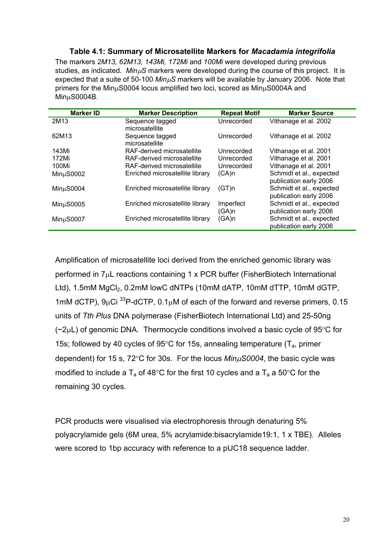#### **Table 4.1: Summary of Microsatellite Markers for** *Macadamia integrifolia*

The markers *2M13, 62M13, 143Mi, 172Mi* and *100Mi* were developed during previous studies, as indicated. *Min*µ*S* markers were developed during the course of this project. It is expected that a suite of 50-100 *Min*µ*S* markers will be available by January 2006. Note that primers for the MinµS0004 locus amplified two loci, scored as MinµS0004A and MinµS0004B.

| <b>Marker ID</b>       | <b>Marker Description</b>         | <b>Repeat Motif</b> | <b>Marker Source</b>                               |
|------------------------|-----------------------------------|---------------------|----------------------------------------------------|
| 2M13                   | Sequence tagged<br>microsatellite | Unrecorded          | Vithanage et al. 2002                              |
| 62M13                  | Sequence tagged<br>microsatellite | Unrecorded          | Vithanage et al. 2002                              |
| 143Mi                  | RAF-derived microsatellite        | Unrecorded          | Vithanage et al. 2001                              |
| 172Mi                  | RAF-derived microsatellite        | Unrecorded          | Vithanage et al. 2001                              |
| 100Mi                  | RAF-derived microsatellite        | Unrecorded          | Vithanage et al. 2001                              |
| MinuS0002              | Enriched microsatellite library   | (CA)n               | Schmidt et al., expected<br>publication early 2006 |
| Min <sub>u</sub> S0004 | Enriched microsatellite library   | (GT)n               | Schmidt et al., expected<br>publication early 2006 |
| MinuS0005              | Enriched microsatellite library   | Imperfect<br>(GA)n  | Schmidt et al., expected<br>publication early 2006 |
| Min <sub>u</sub> S0007 | Enriched microsatellite library   | (GA)n               | Schmidt et al., expected<br>publication early 2006 |

Amplification of microsatellite loci derived from the enriched genomic library was performed in 7µL reactions containing 1 x PCR buffer (FisherBiotech International Ltd), 1.5mM MgCl<sub>2</sub>, 0.2mM lowC dNTPs (10mM dATP, 10mM dTTP, 10mM dGTP, 1mM dCTP),  $9\mu$ Ci <sup>33</sup>P-dCTP,  $0.1\mu$ M of each of the forward and reverse primers, 0.15 units of *Tth Plus* DNA polymerase (FisherBiotech International Ltd) and 25-50ng  $(\sim 2\mu L)$  of genomic DNA. Thermocycle conditions involved a basic cycle of 95 $\degree$ C for 15s; followed by 40 cycles of 95 $\degree$ C for 15s, annealing temperature ( $T_a$ , primer dependent) for 15 s, 72°C for 30s. For the locus *Min*µ*S0004*, the basic cycle was modified to include a  $T_a$  of 48°C for the first 10 cycles and a  $T_a$  a 50°C for the remaining 30 cycles.

PCR products were visualised via electrophoresis through denaturing 5% polyacrylamide gels (6M urea, 5% acrylamide:bisacrylamide19:1, 1 x TBE). Alleles were scored to 1bp accuracy with reference to a pUC18 sequence ladder.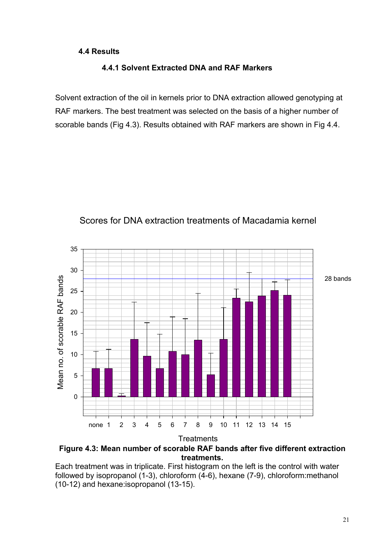#### **4.4 Results**

#### **4.4.1 Solvent Extracted DNA and RAF Markers**

Solvent extraction of the oil in kernels prior to DNA extraction allowed genotyping at RAF markers. The best treatment was selected on the basis of a higher number of scorable bands (Fig 4.3). Results obtained with RAF markers are shown in Fig 4.4.



## Scores for DNA extraction treatments of Macadamia kernel

**Figure 4.3: Mean number of scorable RAF bands after five different extraction treatments.** 

Each treatment was in triplicate. First histogram on the left is the control with water followed by isopropanol (1-3), chloroform (4-6), hexane (7-9), chloroform:methanol (10-12) and hexane:isopropanol (13-15).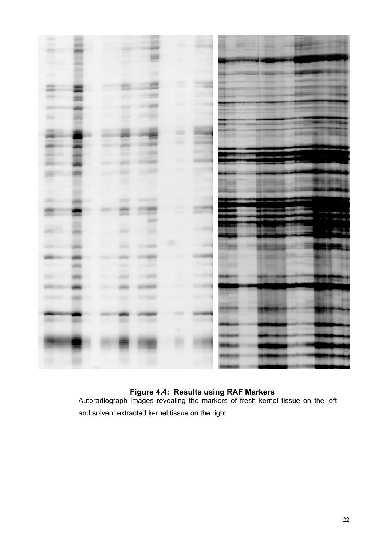

#### **Figure 4.4: Results using RAF Markers**

Autoradiograph images revealing the markers of fresh kernel tissue on the left and solvent extracted kernel tissue on the right.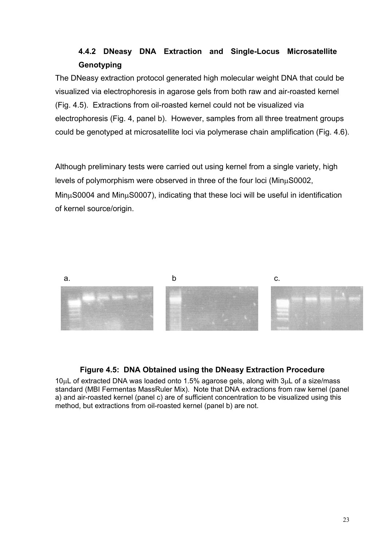## **4.4.2 DNeasy DNA Extraction and Single-Locus Microsatellite Genotyping**

The DNeasy extraction protocol generated high molecular weight DNA that could be visualized via electrophoresis in agarose gels from both raw and air-roasted kernel (Fig. 4.5). Extractions from oil-roasted kernel could not be visualized via electrophoresis (Fig. 4, panel b). However, samples from all three treatment groups could be genotyped at microsatellite loci via polymerase chain amplification (Fig. 4.6).

Although preliminary tests were carried out using kernel from a single variety, high levels of polymorphism were observed in three of the four loci (MinµS0002, MinµS0004 and MinµS0007), indicating that these loci will be useful in identification of kernel source/origin.



#### **Figure 4.5: DNA Obtained using the DNeasy Extraction Procedure**

10µL of extracted DNA was loaded onto 1.5% agarose gels, along with 3µL of a size/mass standard (MBI Fermentas MassRuler Mix). Note that DNA extractions from raw kernel (panel a) and air-roasted kernel (panel c) are of sufficient concentration to be visualized using this method, but extractions from oil-roasted kernel (panel b) are not.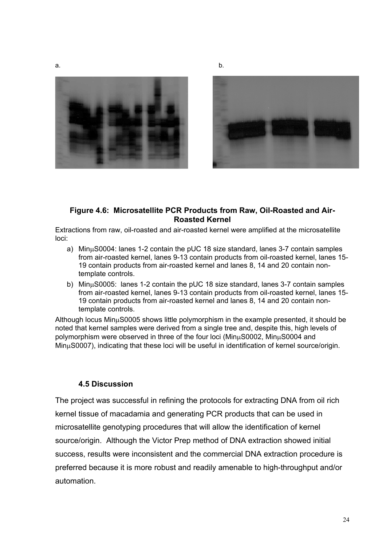







#### **Figure 4.6: Microsatellite PCR Products from Raw, Oil-Roasted and Air-Roasted Kernel**

Extractions from raw, oil-roasted and air-roasted kernel were amplified at the microsatellite loci:

- a) MinµS0004: lanes 1-2 contain the pUC 18 size standard, lanes 3-7 contain samples from air-roasted kernel, lanes 9-13 contain products from oil-roasted kernel, lanes 15- 19 contain products from air-roasted kernel and lanes 8, 14 and 20 contain nontemplate controls.
- b) MinµS0005: lanes 1-2 contain the pUC 18 size standard, lanes 3-7 contain samples from air-roasted kernel, lanes 9-13 contain products from oil-roasted kernel, lanes 15- 19 contain products from air-roasted kernel and lanes 8, 14 and 20 contain nontemplate controls.

Although locus MinµS0005 shows little polymorphism in the example presented, it should be noted that kernel samples were derived from a single tree and, despite this, high levels of polymorphism were observed in three of the four loci (MinµS0002, MinµS0004 and MinµS0007), indicating that these loci will be useful in identification of kernel source/origin.

#### **4.5 Discussion**

The project was successful in refining the protocols for extracting DNA from oil rich kernel tissue of macadamia and generating PCR products that can be used in microsatellite genotyping procedures that will allow the identification of kernel source/origin. Although the Victor Prep method of DNA extraction showed initial success, results were inconsistent and the commercial DNA extraction procedure is preferred because it is more robust and readily amenable to high-throughput and/or automation.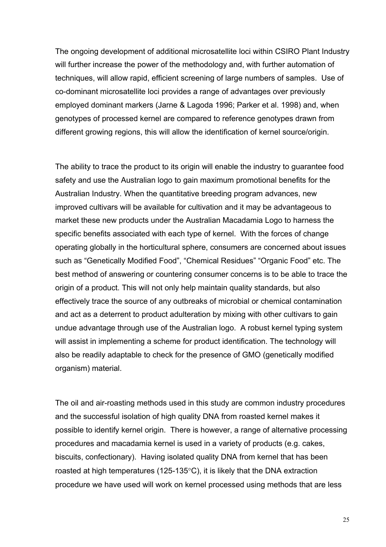The ongoing development of additional microsatellite loci within CSIRO Plant Industry will further increase the power of the methodology and, with further automation of techniques, will allow rapid, efficient screening of large numbers of samples. Use of co-dominant microsatellite loci provides a range of advantages over previously employed dominant markers (Jarne & Lagoda 1996; Parker et al. 1998) and, when genotypes of processed kernel are compared to reference genotypes drawn from different growing regions, this will allow the identification of kernel source/origin.

The ability to trace the product to its origin will enable the industry to guarantee food safety and use the Australian logo to gain maximum promotional benefits for the Australian Industry. When the quantitative breeding program advances, new improved cultivars will be available for cultivation and it may be advantageous to market these new products under the Australian Macadamia Logo to harness the specific benefits associated with each type of kernel. With the forces of change operating globally in the horticultural sphere, consumers are concerned about issues such as "Genetically Modified Food", "Chemical Residues" "Organic Food" etc. The best method of answering or countering consumer concerns is to be able to trace the origin of a product. This will not only help maintain quality standards, but also effectively trace the source of any outbreaks of microbial or chemical contamination and act as a deterrent to product adulteration by mixing with other cultivars to gain undue advantage through use of the Australian logo. A robust kernel typing system will assist in implementing a scheme for product identification. The technology will also be readily adaptable to check for the presence of GMO (genetically modified organism) material.

The oil and air-roasting methods used in this study are common industry procedures and the successful isolation of high quality DNA from roasted kernel makes it possible to identify kernel origin. There is however, a range of alternative processing procedures and macadamia kernel is used in a variety of products (e.g. cakes, biscuits, confectionary). Having isolated quality DNA from kernel that has been roasted at high temperatures (125-135°C), it is likely that the DNA extraction procedure we have used will work on kernel processed using methods that are less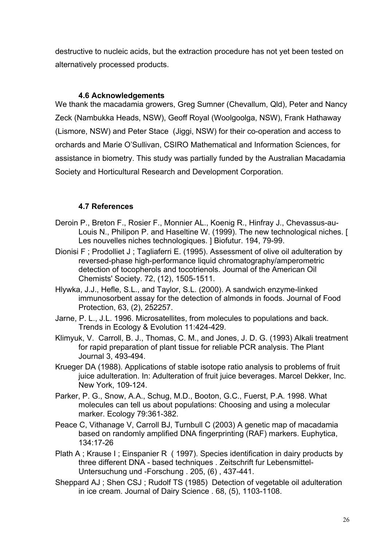destructive to nucleic acids, but the extraction procedure has not yet been tested on alternatively processed products.

#### **4.6 Acknowledgements**

We thank the macadamia growers, Greg Sumner (Chevallum, Qld), Peter and Nancy Zeck (Nambukka Heads, NSW), Geoff Royal (Woolgoolga, NSW), Frank Hathaway (Lismore, NSW) and Peter Stace (Jiggi, NSW) for their co-operation and access to orchards and Marie O'Sullivan, CSIRO Mathematical and Information Sciences, for assistance in biometry. This study was partially funded by the Australian Macadamia Society and Horticultural Research and Development Corporation.

#### **4.7 References**

- Deroin P., Breton F., Rosier F., Monnier AL., Koenig R., Hinfray J., Chevassus-au-Louis N., Philipon P. and Haseltine W. (1999). The new technological niches. [ Les nouvelles niches technologiques. ] Biofutur. 194, 79-99.
- Dionisi F ; Prodolliet J ; Tagliaferri E. (1995). Assessment of olive oil adulteration by reversed-phase high-performance liquid chromatography/amperometric detection of tocopherols and tocotrienols. Journal of the American Oil Chemists' Society. 72, (12), 1505-1511.
- Hlywka, J.J., Hefle, S.L., and Taylor, S.L. (2000). A sandwich enzyme-linked immunosorbent assay for the detection of almonds in foods. Journal of Food Protection, 63, (2), 252257.
- Jarne, P. L., J.L. 1996. Microsatellites, from molecules to populations and back. Trends in Ecology & Evolution 11:424-429.
- Klimyuk, V. Carroll, B. J., Thomas, C. M., and Jones, J. D. G. (1993) Alkali treatment for rapid preparation of plant tissue for reliable PCR analysis. The Plant Journal 3, 493-494.
- Krueger DA (1988). Applications of stable isotope ratio analysis to problems of fruit juice adulteration. In: Adulteration of fruit juice beverages. Marcel Dekker, Inc. New York, 109-124.
- Parker, P. G., Snow, A.A., Schug, M.D., Booton, G.C., Fuerst, P.A. 1998. What molecules can tell us about populations: Choosing and using a molecular marker. Ecology 79:361-382.
- Peace C, Vithanage V, Carroll BJ, Turnbull C (2003) A genetic map of macadamia based on randomly amplified DNA fingerprinting (RAF) markers. Euphytica, 134:17-26
- Plath A ; Krause I ; Einspanier R ( 1997). Species identification in dairy products by three different DNA - based techniques . Zeitschrift fur Lebensmittel-Untersuchung und -Forschung . 205, (6) , 437-441.
- Sheppard AJ ; Shen CSJ ; Rudolf TS (1985) Detection of vegetable oil adulteration in ice cream. Journal of Dairy Science . 68, (5), 1103-1108.